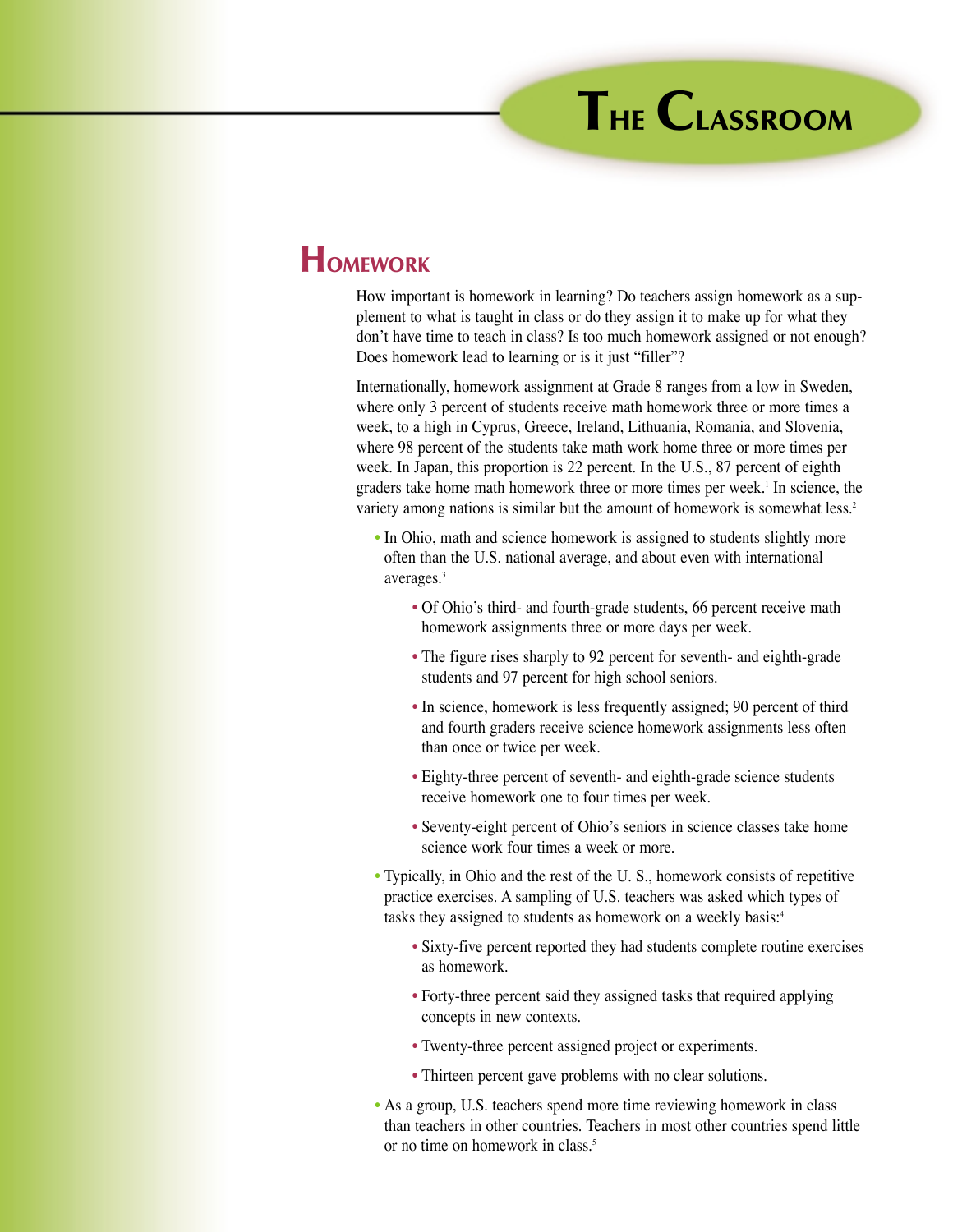## **HOMEWORK**

How important is homework in learning? Do teachers assign homework as a supplement to what is taught in class or do they assign it to make up for what they don't have time to teach in class? Is too much homework assigned or not enough? Does homework lead to learning or is it just "filler"?

Internationally, homework assignment at Grade 8 ranges from a low in Sweden, where only 3 percent of students receive math homework three or more times a week, to a high in Cyprus, Greece, Ireland, Lithuania, Romania, and Slovenia, where 98 percent of the students take math work home three or more times per week. In Japan, this proportion is 22 percent. In the U.S., 87 percent of eighth graders take home math homework three or more times per week.<sup>1</sup> In science, the variety among nations is similar but the amount of homework is somewhat less.<sup>2</sup>

- In Ohio, math and science homework is assigned to students slightly more often than the U.S. national average, and about even with international averages.3
	- Of Ohio's third- and fourth-grade students, 66 percent receive math homework assignments three or more days per week.
	- The figure rises sharply to 92 percent for seventh- and eighth-grade students and 97 percent for high school seniors.
	- In science, homework is less frequently assigned; 90 percent of third and fourth graders receive science homework assignments less often than once or twice per week.
	- Eighty-three percent of seventh- and eighth-grade science students receive homework one to four times per week.
	- Seventy-eight percent of Ohio's seniors in science classes take home science work four times a week or more.
- Typically, in Ohio and the rest of the U. S., homework consists of repetitive practice exercises. A sampling of U.S. teachers was asked which types of tasks they assigned to students as homework on a weekly basis:<sup>4</sup>
	- Sixty-five percent reported they had students complete routine exercises as homework.
	- Forty-three percent said they assigned tasks that required applying concepts in new contexts.
	- Twenty-three percent assigned project or experiments.
	- Thirteen percent gave problems with no clear solutions.
- As a group, U.S. teachers spend more time reviewing homework in class than teachers in other countries. Teachers in most other countries spend little or no time on homework in class.<sup>5</sup>